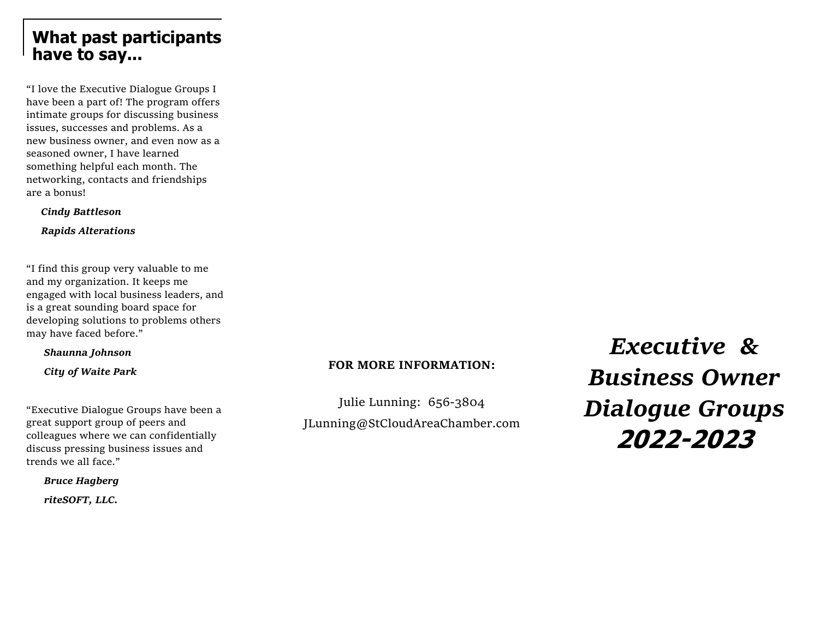## **What past participants have to say...**

"I love the Executive Dialogue Groups I have been a part of! The program offers intimate groups for discussing business issues, successes and problems. As a new business owner, and even now as a seasoned owner, I have learned something helpful each month. The networking, contacts and friendships are a bonus!

*Cindy Battleson*

 *Rapids Alterations* 

"I find this group very valuable to me and my organization. It keeps me engaged with local business leaders, and is a great sounding board space for developing solutions to problems others may have faced before."

*Shaunna Johnson*

 *City of Waite Park*

"Executive Dialogue Groups have been a great support group of peers and colleagues where we can confidentially discuss pressing business issues and trends we all face."

*Bruce Hagberg*

 *riteSOFT, LLC.*

#### **FOR MORE INFORMATION:**

Julie Lunning: 656-3804 JLunning@StCloudAreaChamber.com

*Executive & Business Owner Dialogue Groups* **2022-2023**